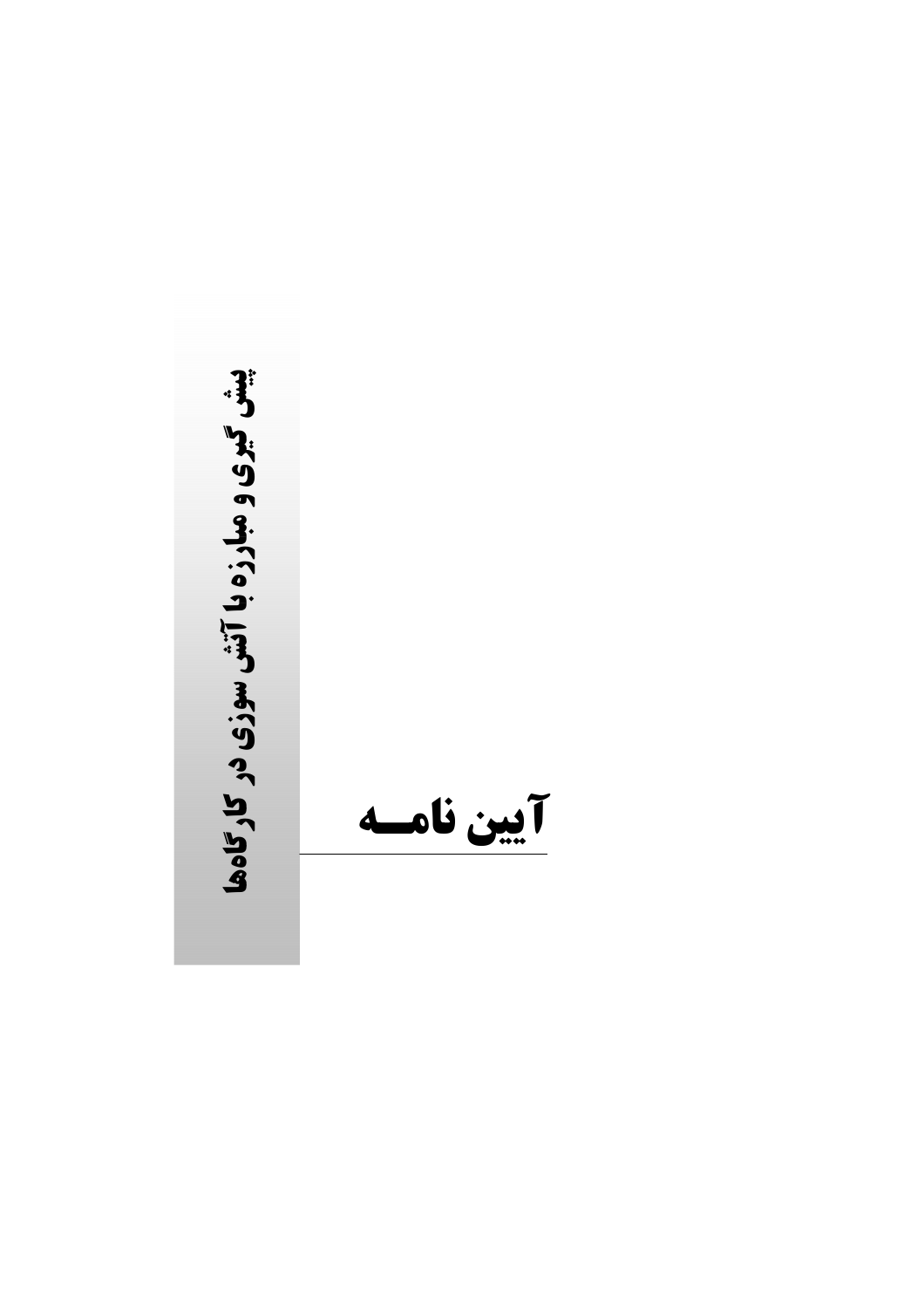پیش گیری و مبارزه با آتش سوزی در کارگاهها آيين نامسه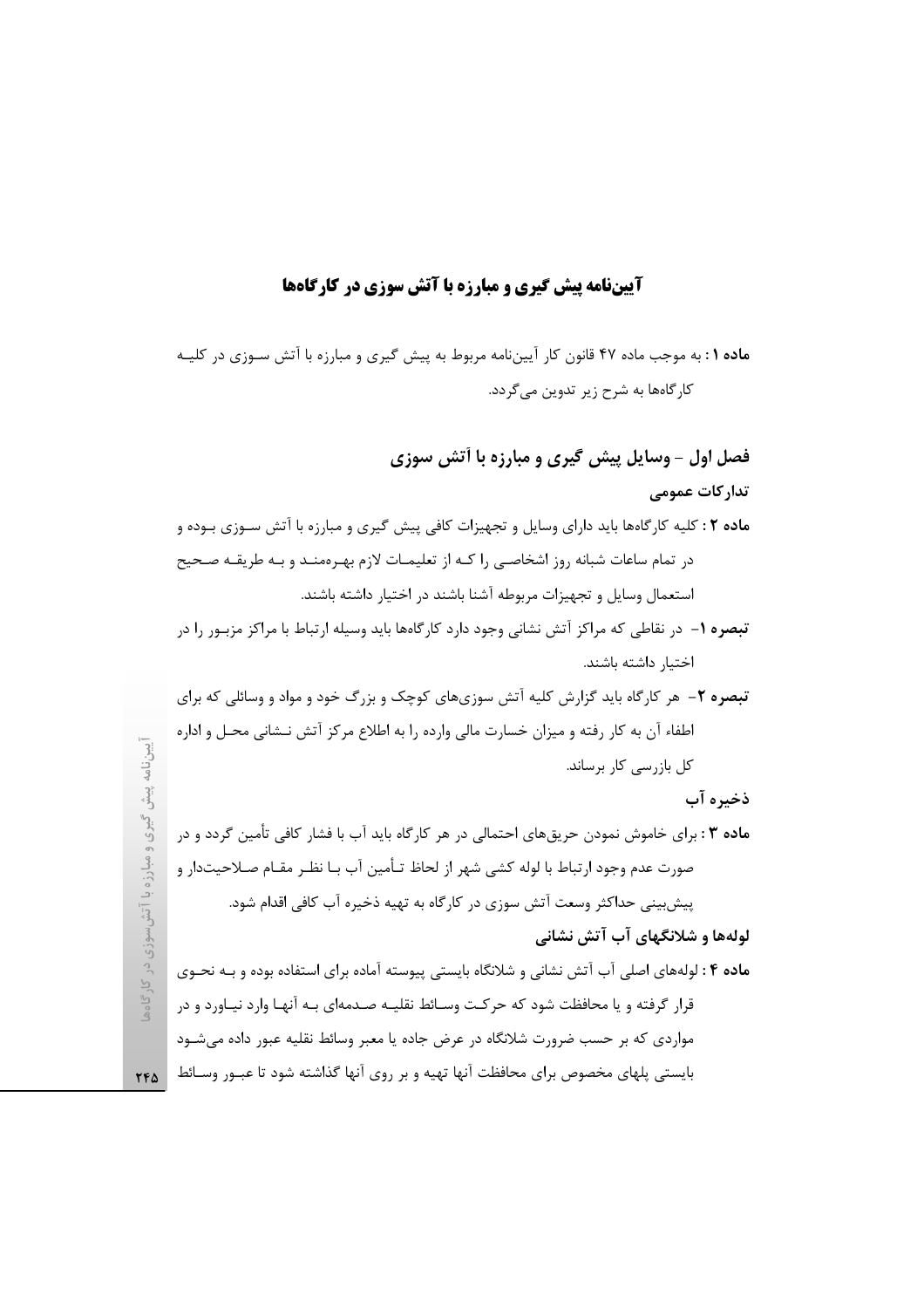## **آییننامه پیش گیری و مبارزه با آتش سوزی در کارگاهها**

ماده ۱ : به موجب ماده ۴۷ قانون کار آییننامه مربوط به پیش گیری و مبارزه با آتش سـوزی در کلیـه کارگاهها به شرح زیر تدوین میگردد.

# فصل اول - وسایل پیش گیری و مبارزه با آتش سوزی

## تدار کات عمومے ِ

ماده ۲ : کلیه کارگاهها باید دارای وسایل و تجهیزات کافی پیش گیری و مبارزه با آتش سـوزی بـوده و در تمام ساعات شبانه روز اشخاصی را کـه از تعلیمـات لازم بهـرهمنـد و بـه طریقـه صـحیح استعمال وسايل و تجهيزات مربوطه آشنا باشند در اختيار داشته باشند.

- **تبصره ۱** در نقاطی که مراکز آتش نشانی وجود دارد کارگاهها باید وسیله ارتباط با مراکز مزبـور را در اختيار داشته باشند.
- **تبصره ۲** هر کارگاه باید گزارش کلیه آتش سوزیهای کوچک و بزرگ خود و مواد و وسائلی که برای اطفاء آن به کار رفته و میزان خسارت مالی وارده را به اطلاع مرکز آتش نـشانی محـل و اداره کل بازرسی کار برساند.

### ذخيره آب

**ماده ۳ :** برای خاموش نمودن حریقهای احتمالی در هر کارگاه باید آب با فشار کافی تأمین گردد و در صورت عدم وجود ارتباط با لوله كشي شهر از لحاظ تـأمين آب بـا نظـر مقـام صـلاحيتدار و پیش بینی حداکثر وسعت آتش سوزی در کارگاه به تهیه ذخیره آب کافی اقدام شود.

## لولهها و شلانگهای آب آتش نشانی

ماده ۴ : لولههای اصلی آب آتش نشانی و شلانگاه بایستی پیوسته آماده برای استفاده بوده و بـه نحـوی قرار گرفته و یا محافظت شود که حرکت وسـائط نقلیـه صـدمهای بـه آنهـا وارد نیـاورد و در مواردی که بر حسب ضرورت شلانگاه در عرض جاده یا معبر وسائط نقلیه عبور داده میشود بایستی پلهای مخصوص برای محافظت آنها تهیه و بر روی آنها گذاشته شود تا عبـور وسـائط | <sub>۲۴۵</sub>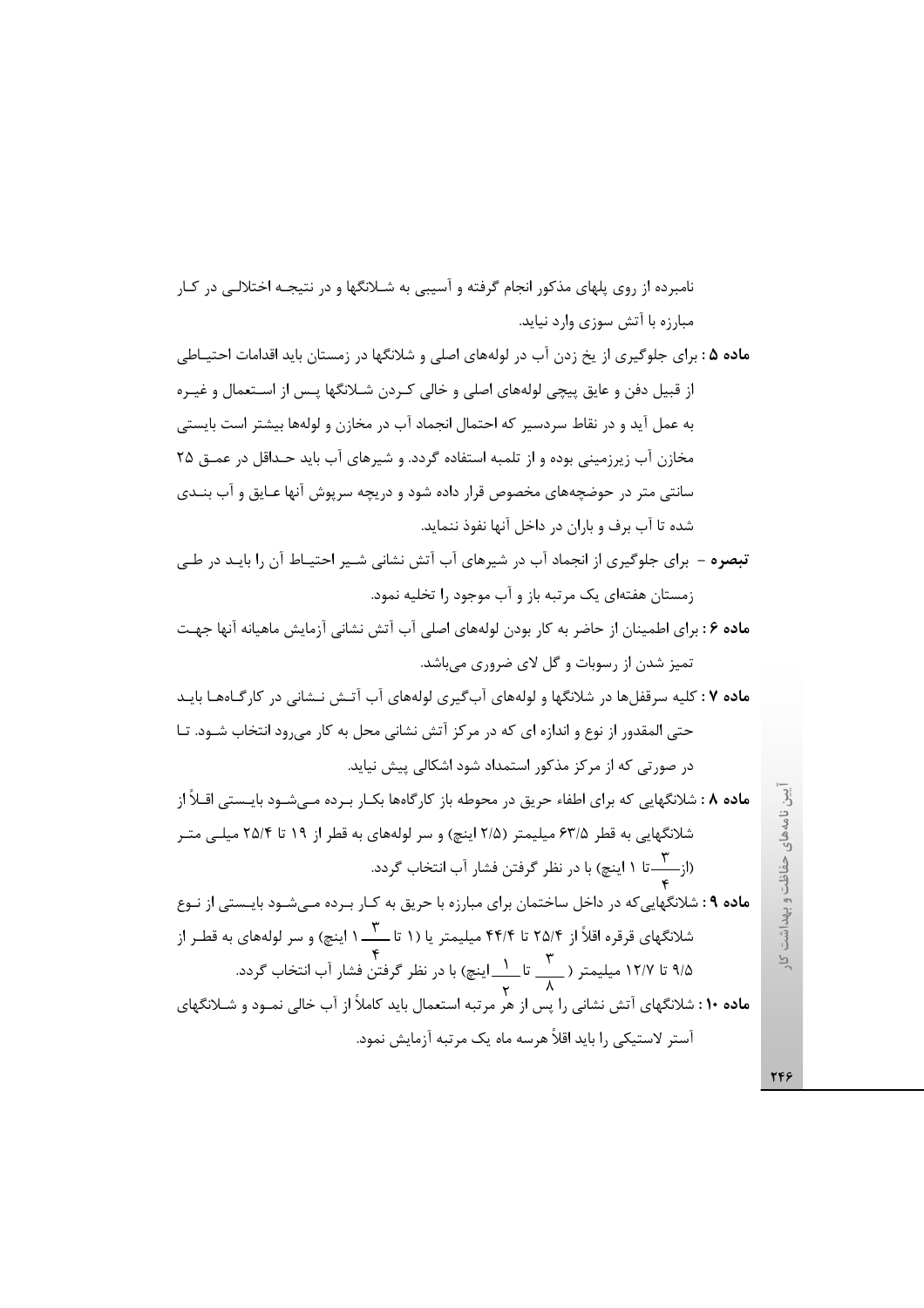نامبرده از روی پلهای مذکور انجام گرفته و آسیبی به شـلانگها و در نتیجـه اختلالـی در کـار مبارزه با آتش سوزی وارد نیاید.

- ماده ۵ : برای جلوگیری از یخ زدن آب در لولههای اصلی و شلانگها در زمستان باید اقدامات احتیـاطی از قبیل دفن و عایق پیچی لولههای اصلی و خالی کـردن شـلانگها پـس از اسـتعمال و غیـره به عمل آید و در نقاط سردسیر که احتمال انجماد آب در مخازن و لولهها بیشتر است بایستی مخازن آب زیرزمینی بوده و از تلمبه استفاده گردد. و شیرهای آب باید حـداقل در عمــق ۲۵ سانتی متر در حوضچههای مخصوص قرار داده شود و دریچه سرپوش آنها عـایق و آب بنــدی شده تا آب برف و باران در داخل آنها نفوذ ننماید.
- .<br>**تبصره** برای جلوگیری از انجماد آب در شیرهای آب آتش نشانی شـیر احتیـاط آن را بایـد در طـی زمستان هفتهای یک مرتبه باز و آب موجود را تخلیه نمود.
- ماده ۶ : برای اطمینان از حاضر به کار بودن لولههای اصلی آب آتش نشانی آزمایش ماهیانه آنها جهت تمیز شدن از رسوبات و گل لای ضروری میباشد.

ماده ۷ : کلیه سرقفلها در شلانگها و لولههای آبگیری لولههای آب آتـش نـشانی در کارگـاههـا بایـد حتی المقدور از نوع و اندازه ای که در مرکز آتش نشانی محل به کار می رود انتخاب شـود. تــا در صورتی که از مرکز مذکور استمداد شود اشکالی پیش نیاید.

م**اده ۸** : شلانگهایی که برای اطفاء حریق در محوطه باز کارگاهها بکــار بــرده مــی،شــود بایــستی اقــلاً از شلانگهایی به قطر ۶۳/۵ میلیمتر (۲/۵ اینچ) و سر لولههای به قطر از ۱۹ تا ۲۵/۴ میلـی متـر (از ۱۰ تا ۱ اینچ) با در نظر گرفتن فشار آب انتخاب گردد.

ماده ۹ : شلانگهایی که در داخل ساختمان برای مبارزه با حریق به کـار بـرده مـی شـود بایـستی از نـوع شلانگهای قرقره اقلاً از ۲۵/۴ تا ۴۴/۴ میلیمتر یا (۱ تا ۳ ـــ ۱ اینچ) و سر لولههای به قطـر از ۹/۵ تا ۱۲/۷ میلیمتر ( ۲۰۰<u>۰ تا ۱۰ ای</u>نچ) با در نظر گرفتن فشار آب انتخاب گردد.<br>۹/۵ تا ۱۲/۷ میلیمتر ( <u>۲۰</u>۰۰ تا م**اده ۱۰ :** شلانگهای آتش نشانی را پس از هر مرتبه استعمال باید کاملاً از آب خالی نمـود و شـلانگهای آستر لاستیکی را باید اقلاً هرسه ماه یک مرتبه آزمایش نمود.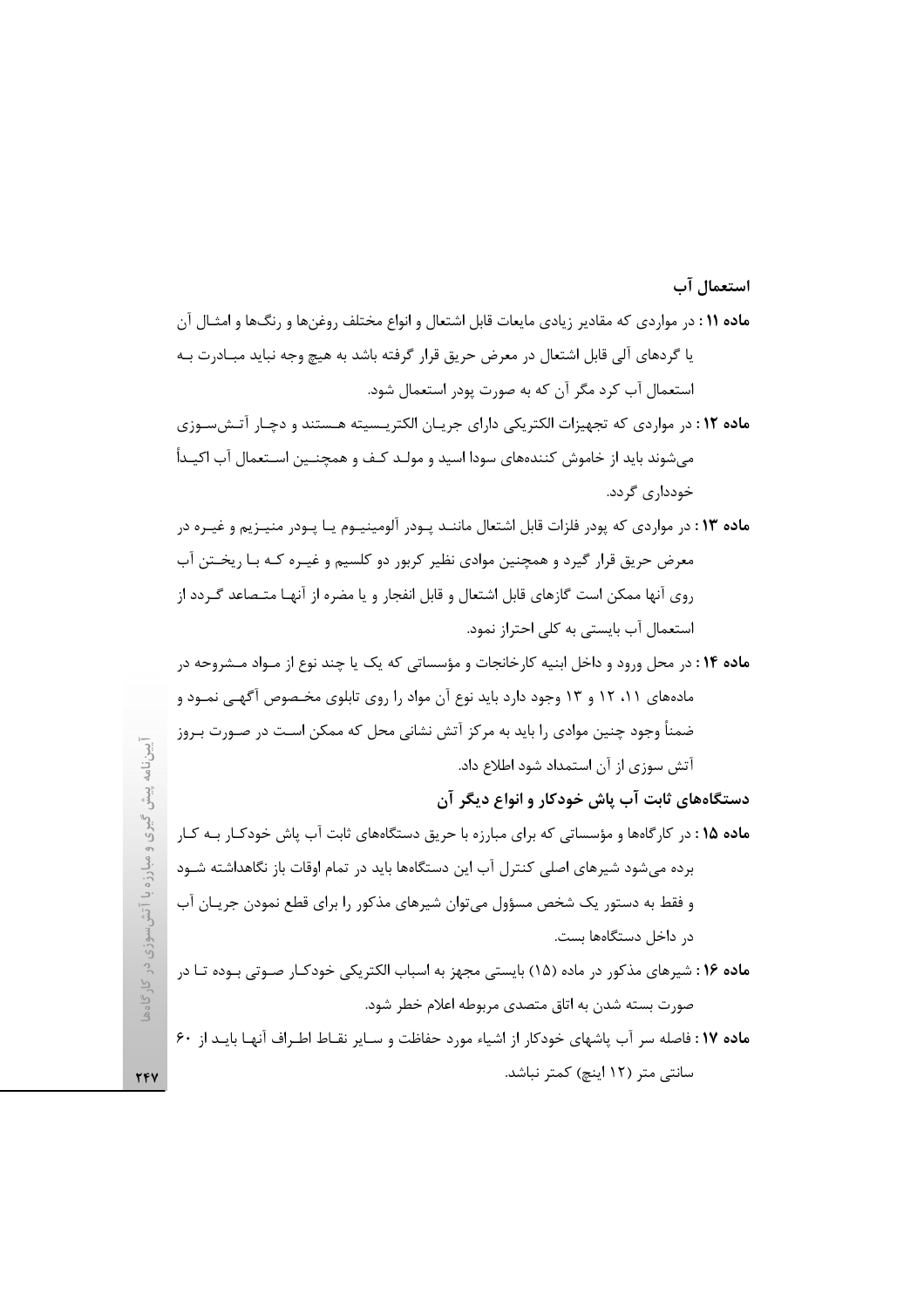#### استعمال آب

- **ماده ۱۱** : در مواردی که مقادیر زیادی مایعات قابل اشتعال و انواع مختلف روغنها و رنگها و امثـال آن یا گردهای آلی قابل اشتعال در معرض حریق قرار گرفته باشد به هیچ وجه نباید مبـادرت بـه استعمال آب کرد مگر آن که به صورت پودر استعمال شود.
- ماده ۱۲: در مواردی که تجهیزات الکتریکی دارای جریان الکتریسیته هستند و دچار آتشسوزی می شوند باید از خاموش کنندههای سودا اسید و مولـد کـف و همچنـین اســتعمال آب اکیــداً خودداری گردد.
- ماده ۱۳: در مواردی که پودر فلزات قابل اشتعال ماننـد پـودر آلومینیـوم یـا پـودر منیـزیم و غیـره در معرض حریق قرار گیرد و همچنین موادی نظیر کربور دو کلسیم و غیـره کـه بـا ریخـتن آب روی آنها ممکن است گازهای قابل اشتعال و قابل انفجار و یا مضره از آنهـا متـصاعد گـردد از استعمال آب بایستی به کلی احتراز نمود.
- ماده ۱۴: در محل ورود و داخل ابنیه کارخانجات و مؤسساتی که یک یا چند نوع از مـواد مـشروحه در مادههای ۱۱، ۱۲ و ۱۳ وجود دارد باید نوع آن مواد را روی تابلوی مخـصوص آگهـی نمـود و ضمناً وجود چنین موادی را باید به مرکز آتش نشانی محل که ممکن اسـت در صـورت بـروز آتش سوزی از آن استمداد شود اطلاع داد.

دستگاههای ثابت آب پاش خودکار و انواع دیگر آن

- ماده ۱۵ : در کارگاهها و مؤسساتی که برای مبارزه با حریق دستگاههای ثابت آب پاش خودکـار بـه کـار برده میشود شیرهای اصلی کنترل آب این دستگاهها باید در تمام اوقات باز نگاهداشته شـود و فقط به دستور یک شخص مسؤول میتوان شیرهای مذکور را برای قطع نمودن جریـان آب د, داخل دستگاهها بست.
- ماده ۱۶: شیرهای مذکور در ماده (۱۵) بایستی مجهز به اسباب الکتریکی خودکـار صـوتی بـوده تـا در صورت بسته شدن به اتاق متصدى مربوطه اعلام خطر شود.
- ماده ١٧: فاصله سر آب پاشهای خودکار از اشیاء مورد حفاظت و سـایر نقـاط اطـراف آنهـا بایـد از ٤٠ سانتی متر (۱۲ اینچ) کمتر نباشد.

TFV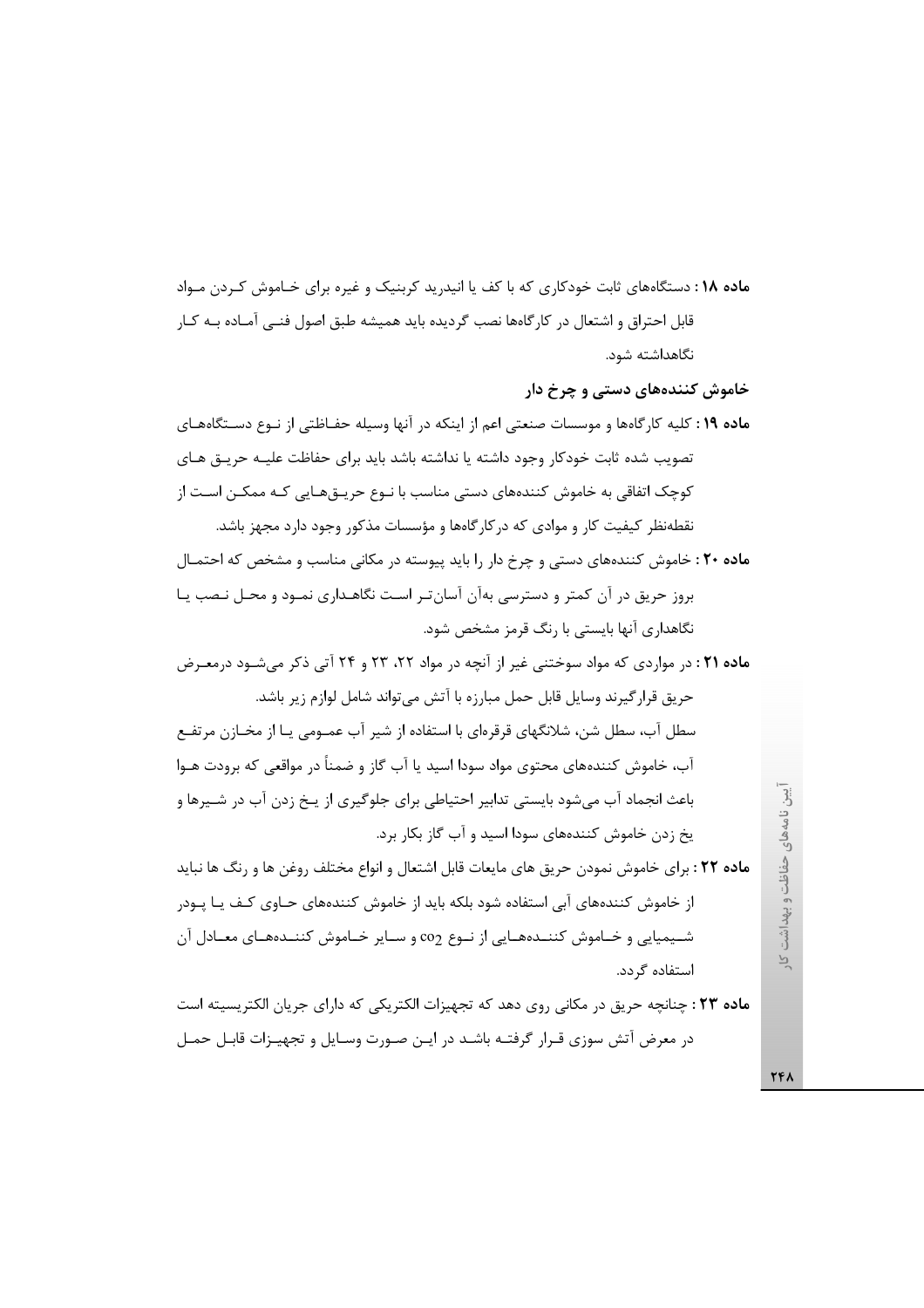م**اده ۱۸**: دستگاههای ثابت خودکاری که با کف یا انید<sub>ا</sub> ید کربنیک و غیره برای خـاموش کـردن مـواد قابل احتراق و اشتعال در کارگاهها نصب گردیده باید همیشه طبق اصول فنبی آمـاده بــه کــار نگاهداشته شود.

خاموش کنندههای دستی و چرخ دار

ماده ۱۹: کلیه کارگاهها و موسسات صنعتی اعم از اینکه در آنها وسیله حفـاظتی از نـوع دسـتگاههـای تصویب شده ثابت خودکار وجود داشته یا نداشته باشد باید برای حفاظت علیـه حریـق هـای کوچک اتفاقی به خاموش کنندههای دستی مناسب با نـوع حریـق۱عـایی کـه ممکــن اســت از نقطهنظر کیفیت کار و موادی که در کار گاهها و مؤسسات مذکور وجود دارد مجهز باشد.

ماده ۲۰: خاموش کنندههای دستی و چرخ دار را باید پیوسته در مکانی مناسب و مشخص که احتمـال بروز حریق در آن کمتر و دسترسی بهآن آسانتر است نگاهـداری نمـود و محـل نـصب یـا نگاهداری آنها بایستی با رنگ قرمز مشخص شود.

ماده ۲۱ : در مواردی که مواد سوختنی غیر از آنچه در مواد ۲۲، ۲۳ و ۲۴ آتی ذکر میشود درمعـرض حريق قرار گيرند وسايل قابل حمل مبارزه با آتش مي تواند شامل لوازم زير باشد.

سطل آب، سطل شن، شلانگهای قرقرهای با استفاده از شیر آب عمــومی پــا از مخــازن مرتفــع آب، خاموش کنندههای محتوی مواد سودا اسید یا آب گاز و ضمناً در مواقعی که برودت هــوا باعث انجماد آب می شود بایستی تدابیر احتیاطی برای جلوگیری از پـخ زدن آب در شـیرها و یخ زدن خاموش کنندههای سودا اسید و آب گاز بکار برد.

م**اده ۲۲** : برای خاموش نمودن حریق های مایعات قابل اشتعال و انواع مختلف روغن ها و رنگ ها نباید از خاموش کنندههای آبی استفاده شود بلکه باید از خاموش کنندههای حـاوی کـف یـا پـودر شـيميايي و خـاموش كننــدههــايي از نــوع co2 و ســاير خــاموش كننــدههــاي معــادل آن استفاده گردد.

**ماده ۲۳** : چنانچه حریق در مکانی روی دهد که تجهیزات الکتریکی که دارای جریان الکتریسیته است در معرض آتش سوزی قـرار گرفتـه باشـد در ايـن صـورت وسـايل و تجهيـزات قابـل حمـل

**TFA**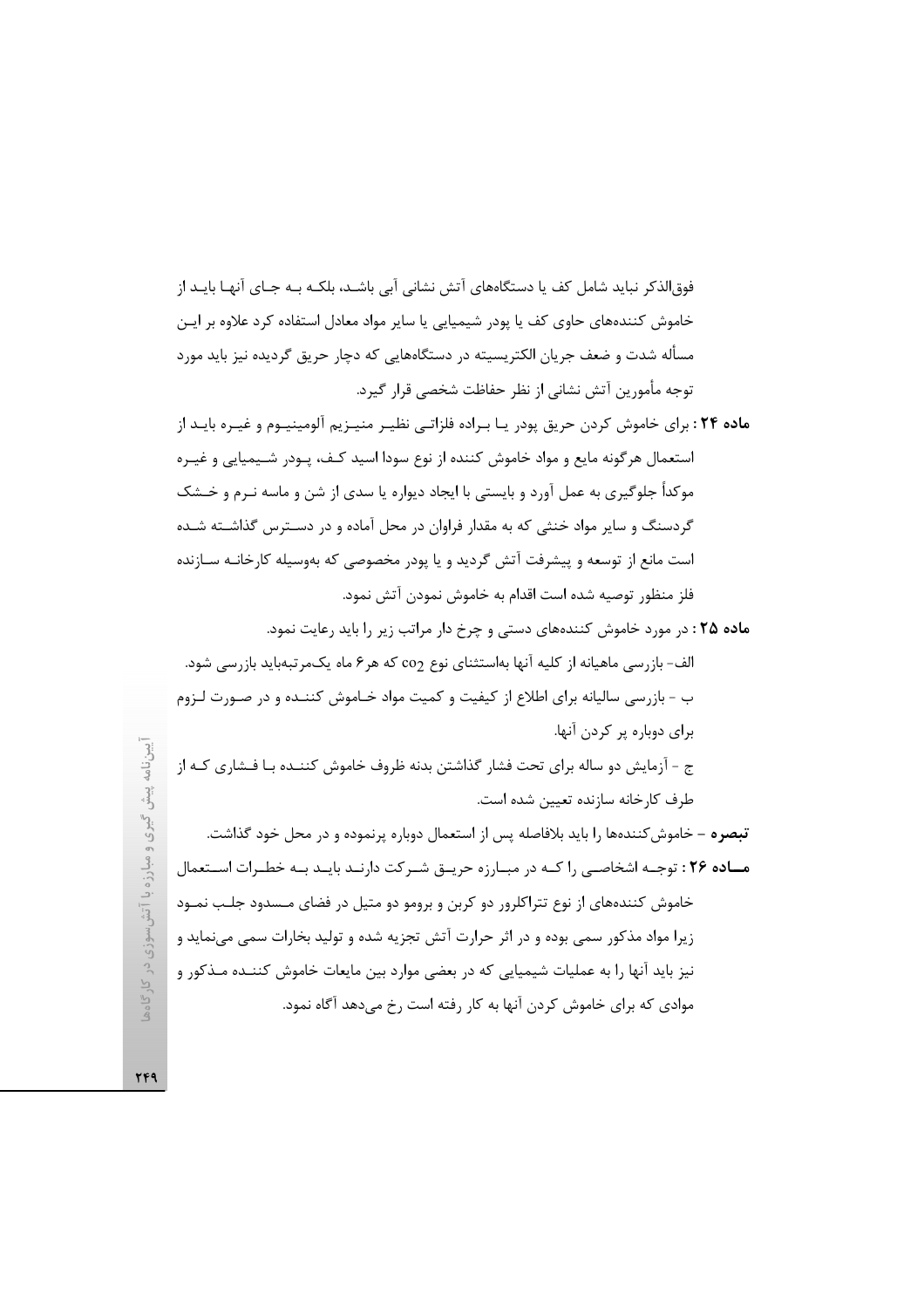فوق|لذکر نباید شامل کف یا دستگاههای آتش نشانی آبی باشـد، بلکـه بـه جـای آنهـا بایـد از خاموش کنندههای حاوی کف یا یودر شیمیایی یا سایر مواد معادل استفاده کرد علاوه بر ایـن مسأله شدت و ضعف جريان الكتريسيته در دستگاههايي كه دچار حريق گرديده نيز بايد مورد توجه مأمورين آتش نشاني از نظر حفاظت شخصي قرار گيرد.

- ماده ۲۴: برای خاموش کردن حریق پودر یـا بـراده فلزاتـی نظیـر منیـزیم آلومینیـوم و غیـره بایـد از استعمال هرگونه مایع و مواد خاموش کننده از نوع سودا اسید کـف، پـودر شـیمیایی و غیـره موکداً جلوگیری به عمل آورد و بایستی با ایجاد دیواره یا سدی از شن و ماسه نـرم و خــشک گردسنگ و سایر مواد خنثی که به مقدار فراوان در محل آماده و در دسـترس گذاشـته شـده است مانع از توسعه و پیشرفت آتش گردید و یا پودر مخصوصی که بهوسیله کارخانــه ســازنده فلز منظور توصيه شده است اقدام به خاموش نمودن آتش نمود.
- ماده ۲۵ : در مورد خاموش کنندههای دستی و چرخ دار مراتب زیر را باید رعایت نمود. الف- بازرسی ماهیانه از کلیه آنها بهاستثنای نوع co<sub>2</sub> که هر۶ ماه یکمرتبهباید بازرسی شود. ب - بازرسی سالیانه برای اطلاع از کیفیت و کمیت مواد خـاموش کننـده و در صـورت لـزوم برای دوباره پر کردن آنها. ج - آزمایش دو ساله برای تحت فشار گذاشتن بدنه ظروف خاموش کننــده بـا فــشاری کــه از طرف كارخانه سازنده تعيين شده است. <mark>تبصره</mark> – خاموش *ك*نندهها را بايد بلافاصله پس از استعمال دوباره پرنموده و در محل خود گذاشت. ماده ۲۶: توجـه اشخاصـی را کـه در مبـارزه حریـق شـرکت دارنـد بایـد بـه خطـرات اسـتعمال

موادی که برای خاموش کردن آنها به کار رفته است رخ میدهد آگاه نمود.

ر<br>د گیری و مبارزه با آتش سوزی در کارگاهه خاموش کنندههای از نوع تتراکلرور دو کربن و برومو دو متیل در فضای مـسدود جلـب نمـود زیرا مواد مذکور سمی بوده و در اثر حرارت آتش تجزیه شده و تولید بخارات سمی میiماید و نیز باید آنها را به عملیات شیمیایی که در بعضی موارد بین مایعات خاموش کننـده مـذکور و

**TF9**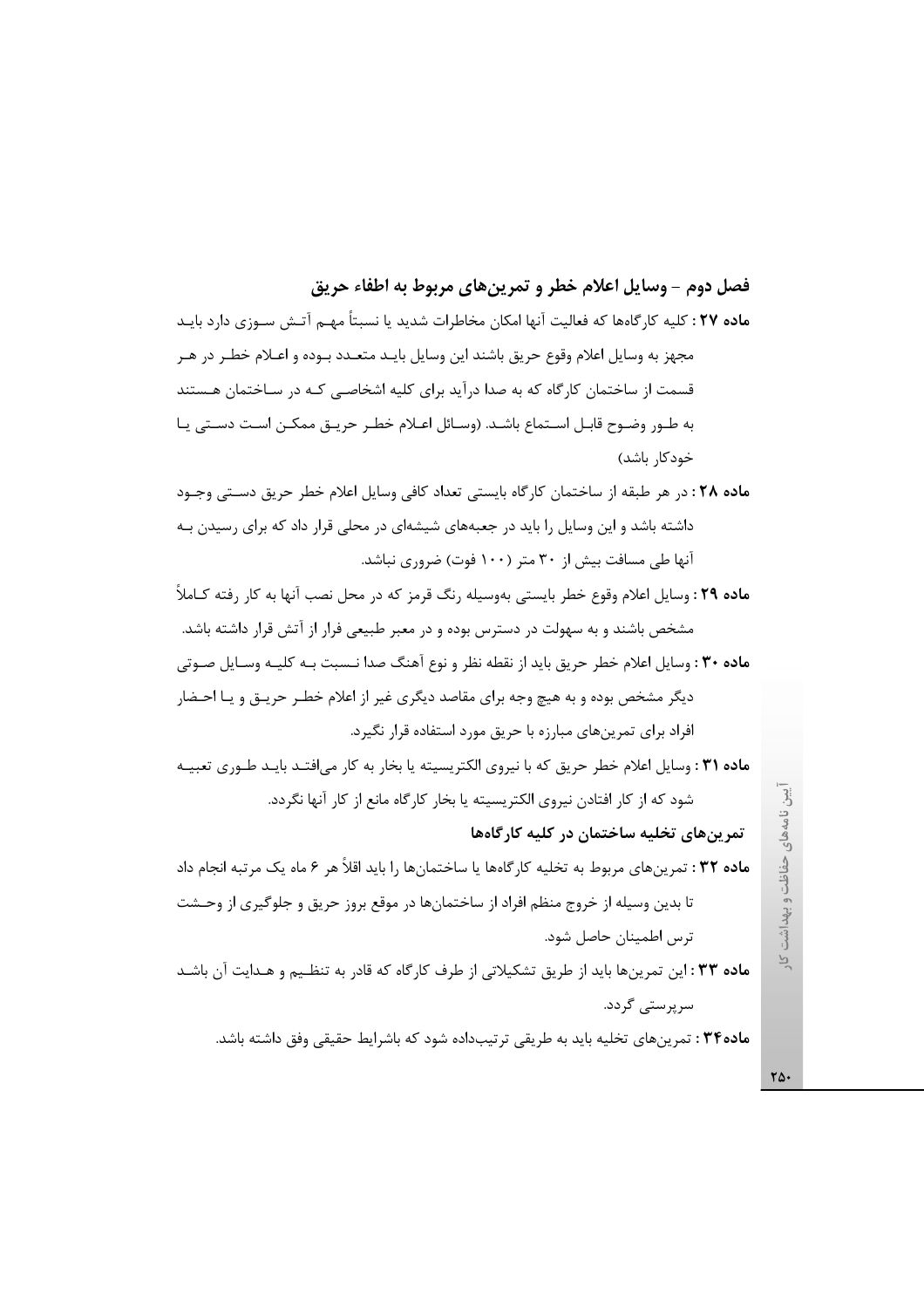## فصل دوم – وسايل اعلام خطر و تمرين هاي مربوط به اطفاء حريق

**ماده ۲۷ :** کلیه کارگاهها که فعالیت آنها امکان مخاطرات شدید یا نسبتاً مهـم آتـش سـوزی دارد بایـد مجهز به وسایل اعلام وقوع حریق باشند این وسایل بایـد متعـدد بـوده و اعـلام خطـر در هـر قسمت از ساختمان کارگاه که به صدا درآید برای کلیه اشخاصی کـه در سـاختمان هـستند به طـور وضـوح قابـل اسـتماع باشـد. (وسـائل اعـلام خطـر حريــق ممكــن اسـت دســتى يــا خودکار باشد)

ماده ٢٨ : در هر طبقه از ساختمان كارگاه بايستي تعداد كافي وسايل اعلام خطر حريق دستي وجـود داشته باشد و این وسایل را باید در جعبههای شیشهای در محلی قرار داد که برای رسیدن بـه آنها طی مسافت بیش از ۳۰ متر (۱۰۰ فوت) ضروری نباشد.

ماده ٢٩ : وسايل اعلام وقوع خطر بايستي بهوسيله رنگ قرمز كه در محل نصب آنها به كار رفته كـاملاً مشخص باشند و به سهولت در دسترس بوده و در معبر طبیعی فرار از آتش قرار داشته باشد. ماده ۳۰ : وسایل اعلام خطر حریق باید از نقطه نظر و نوع آهنگ صدا نـسبت بـه کلیـه وسـایل صـوتی دیگر مشخص بوده و به هیچ وجه برای مقاصد دیگری غیر از اعلام خطـر حریــق و یــا احــضار افراد برای تمرینهای مبارزه با حریق مورد استفاده قرار نگیرد. ماده ٣١ : وسايل اعلام خطر حريق كه با نيروى الكتريسيته يا بخار به كار مىافتـد بايـد طـورى تعبيـه

شود که از کار افتادن نیروی الکتریسیته یا بخار کارگاه مانع از کار آنها نگردد.

تمرینهای تخلیه ساختمان در کلیه کارگاهها

م**اده ٣٢** : تمرينهاي مربوط به تخليه كارگاهها يا ساختمانها را بايد اقلاً هر ۶ ماه يک مرتبه انجام داد تا بدین وسیله از خروج منظم افراد از ساختمانها در موقع بروز حریق و جلوگیری از وحـشت ترس اطمينان حاصل شود.

م**اده ۳۳** : این تمرینها باید از طریق تشکیلاتی از طرف کارگاه که قادر به تنظـیم و هـدایت آن باشـد سر پر ستے گر دد.

ماده۳۴: تمرینهای تخلیه باید به طریقی ترتیبداده شود که باشرایط حقیقی وفق داشته باشد.

ِّيين نامههای حفاظت و بهداشت  $\overline{P}$ 

 $\mathsf{r}\mathsf{\Delta}\cdot$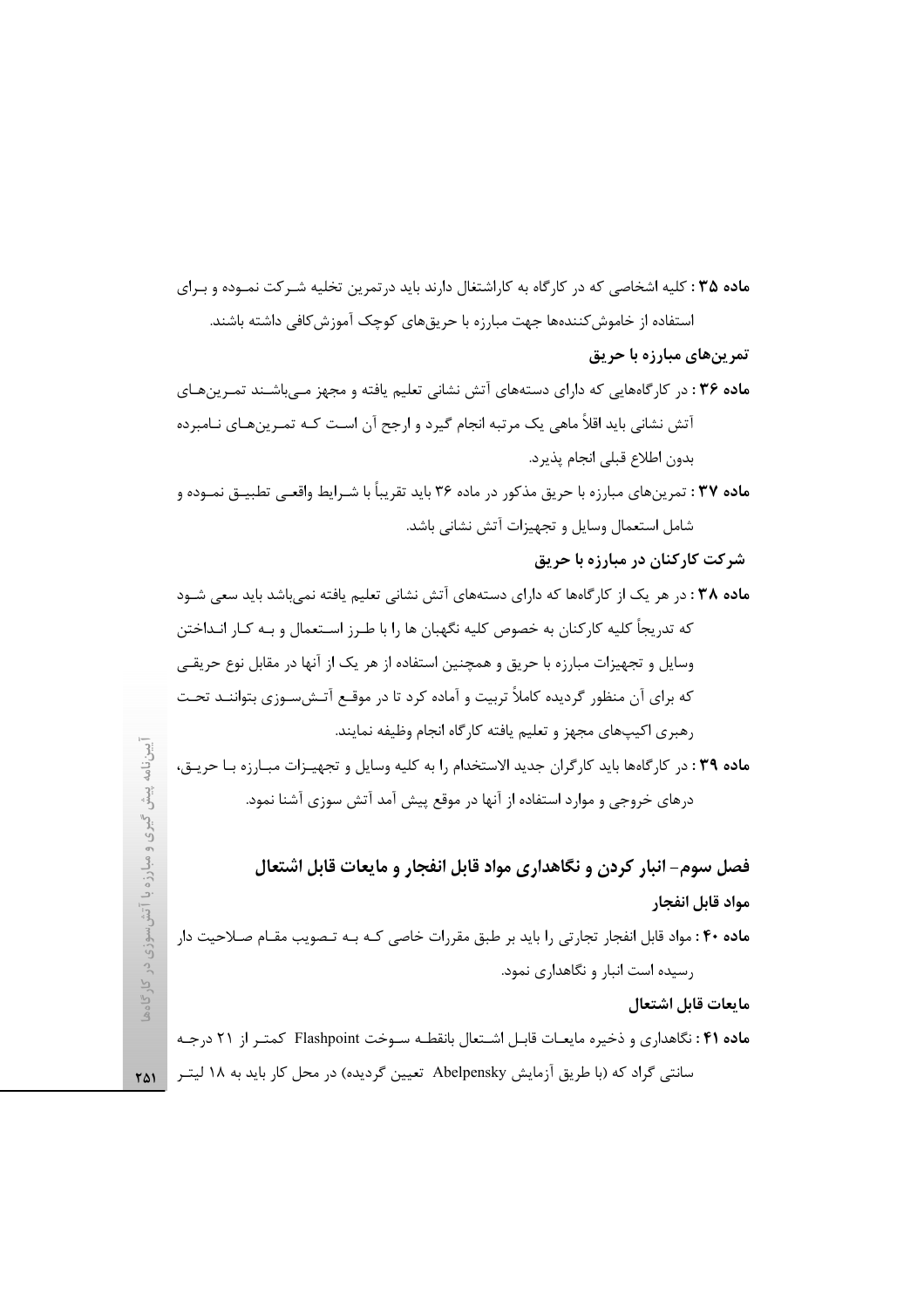م**اده ۳۵** : کلیه اشخاصی که در کارگاه به کاراشتغال دارند باید در تمرین تخلیه شـرکت نمـوده و بـرای استفاده از خاموش کنندهها جهت مبارزه با حریق های کوچک آموزش کافی داشته باشند. تمرینهای مبارزه با حریق

- ماده ۳۶: در کارگاههایی که دارای دستههای آتش نشانی تعلیم یافته و مجهز مـیباشـند تمـرینهـای آتش نشانی باید اقلاً ماهی یک مرتبه انجام گیرد و ارجح آن است کـه تمـرینهـای نــامبرده بدون اطلاع قبلي انجام يذيرد.
- م**اده ۳۷** : تمرینهای مبارزه با حریق مذکور در ماده ۳۶ باید تقریباً با شـرایط واقعـی تطبیــق نمــوده و شامل استعمال وسایل و تجهیزات آتش نشانی باشد.
	- شر کت کار کنان در مبارزه با حریق
- ماده ۳۸ : در هر یک از کارگاهها که دارای دستههای آتش نشانی تعلیم یافته نمیباشد باید سعی شـود که تدریجاً کلیه کارکنان به خصوص کلیه نگهبان ها را با طـرز اســتعمال و بـه کـار انـداختن وسایل و تجهیزات مبارزه با حریق و همچنین استفاده از هر یک از آنها در مقابل نوع حریقـی که برای آن منظور گردیده کاملاً تربیت و آماده کرد تا در موقـع آتـشسـوزی بتواننـد تحـت رهبري اكيپهاي مجهز و تعليم يافته كارگاه انجام وظيفه نمايند. ماده ٣٩ : در كارگاهها بايد كارگران جديد الاستخدام را به كليه وسايل و تجهيـزات مبـارزه بـا حريـق،

درهای خروجی و موارد استفاده از آنها در موقع پیش آمد آتش سوزی آشنا نمود.

فصل سوم- انبار کردن و نگاهداری مواد قابل انفجار و مایعات قابل اشتعال مواد قابل انفجار

ماده ۴۰: مواد قابل انفجار تجارتی را باید بر طبق مقررات خاصی کـه بـه تـصویب مقـام صـلاحیت دار رسیده است انبار و نگاهداری نمود.

مايعات قابل اشتعال

ماده ۴۱ : نگاهداری و ذخیره مایعـات قابـل اشـتعال بانقطـه سـوخت Flashpoint كمتـر از ۲۱ درجـه سانتی گراد که (با طریق آزمایش Abelpensky تعیین گردیده) در محل کار باید به ۱۸ لیتـر  $\,$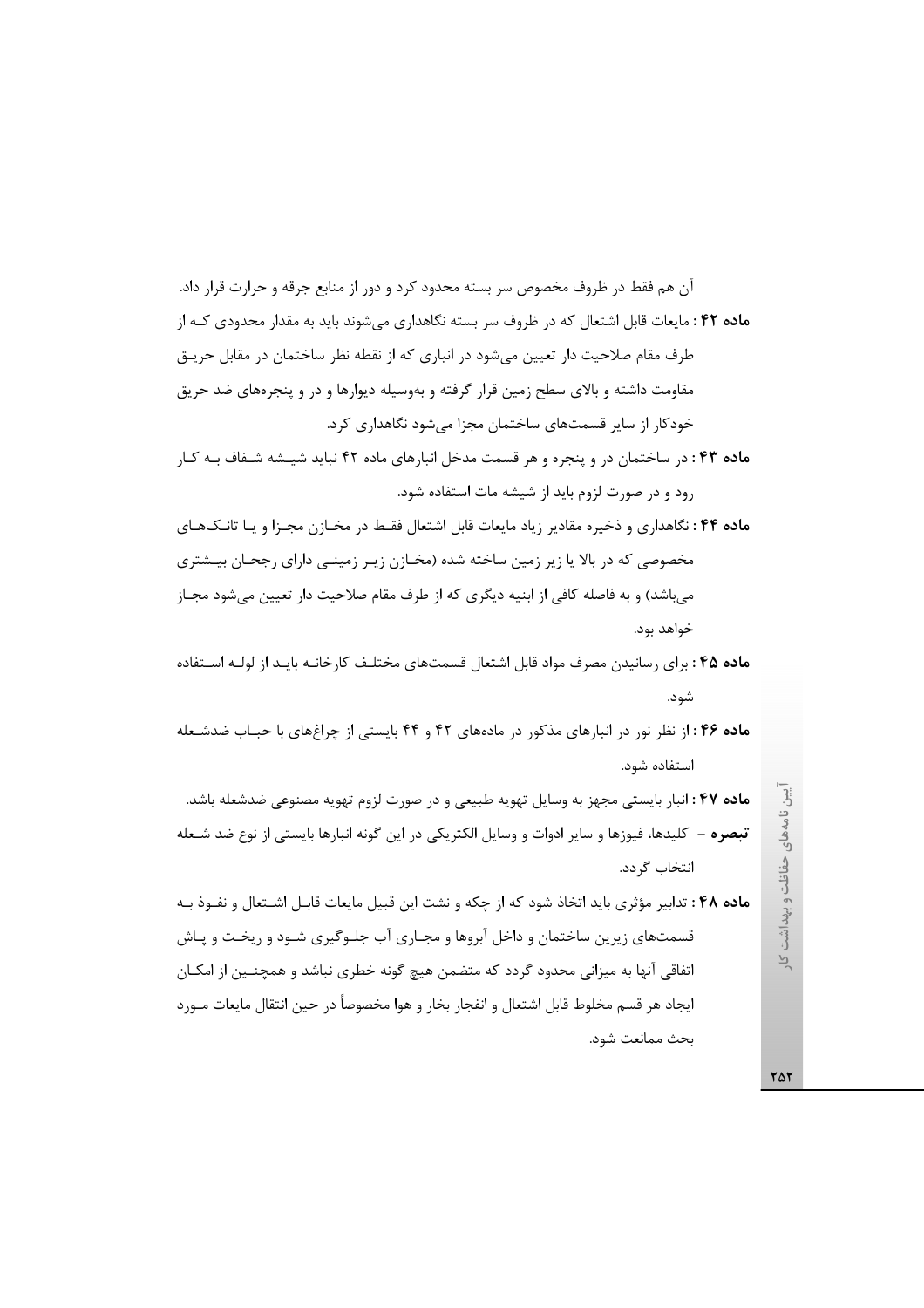آن هم فقط در ظروف مخصوص سر بسته محدود کرد و دور از منابع جرقه و حرارت قرار داد. **ماده ۴۲:** مایعات قابل اشتعال که در ظروف سر بسته نگاهداری می شوند باید به مقدار محدودی کـه از طرف مقام صلاحیت دار تعیین می شود در انباری که از نقطه نظر ساختمان در مقابل حریـق مقاومت داشته و بالای سطح زمین قرار گرفته و بهوسیله دیوارها و در و پنجرههای ضد حریق خودکار از سایر قسمتهای ساختمان مجزا می شود نگاهداری کرد.

ماده ۴۳: در ساختمان در و پنجره و هر قسمت مدخل انبارهای ماده ۴۲ نباید شیسه شـفاف بـه کـار رود و در صورت لزوم باید از شیشه مات استفاده شود.

م**اده ۴۴**: نگاهداری و ذخیره مقادیر زیاد مایعات قابل اشتعال فقـط در مخـازن مجـزا و یـا تانـکـهـای مخصوصی که در بالا یا زیر زمین ساخته شده (مخـازن زیـر زمینـی دارای رجحـان بیـشتری میباشد) و به فاصله کافی از ابنیه دیگری که از طرف مقام صلاحیت دار تعیین میشود مجـاز خواهد بود.

**ماده ۴۵** : برای رسانیدن مصرف مواد قابل اشتعال قسمتهای مختلـف کارخانـه بایـد از لولـه اسـتفاده شود.

ماده ۴۶: از نظر نور در انبارهای مذکور در مادههای ۴۲ و ۴۴ بایستی از چراغهای با حبـاب ضدشـعله استفاده شود.

ماده ۴۷: انبار بایستی مجهز به وسایل تهویه طبیعی و در صورت لزوم تهویه مصنوعی ضدشعله باشد. تبصره – كليدها، فيوزها و ساير ادوات و وسايل الكتريكي در اين گونه انبارها بايستي از نوع ضد شـعله انتخاب گر دد.

ماده ۴۸ : تدابیر مؤثری باید اتخاذ شود که از چکه و نشت این قبیل مایعات قابـل اشـتعال و نفـوذ بـه قسمتهای زیرین ساختمان و داخل آبروها و مجـاری آب جلـوگیری شـود و ریخـت و پـاش اتفاقی آنها به میزانی محدود گردد که متضمن هیچ گونه خطری نباشد و همچنـین از امکـان ايجاد هر قسم مخلوط قابل اشتعال و انفجار بخار و هوا مخصوصاً در حين انتقال مايعات مــورد بحث ممانعت شود.

یین نامههای حفاظت و بهداشت کار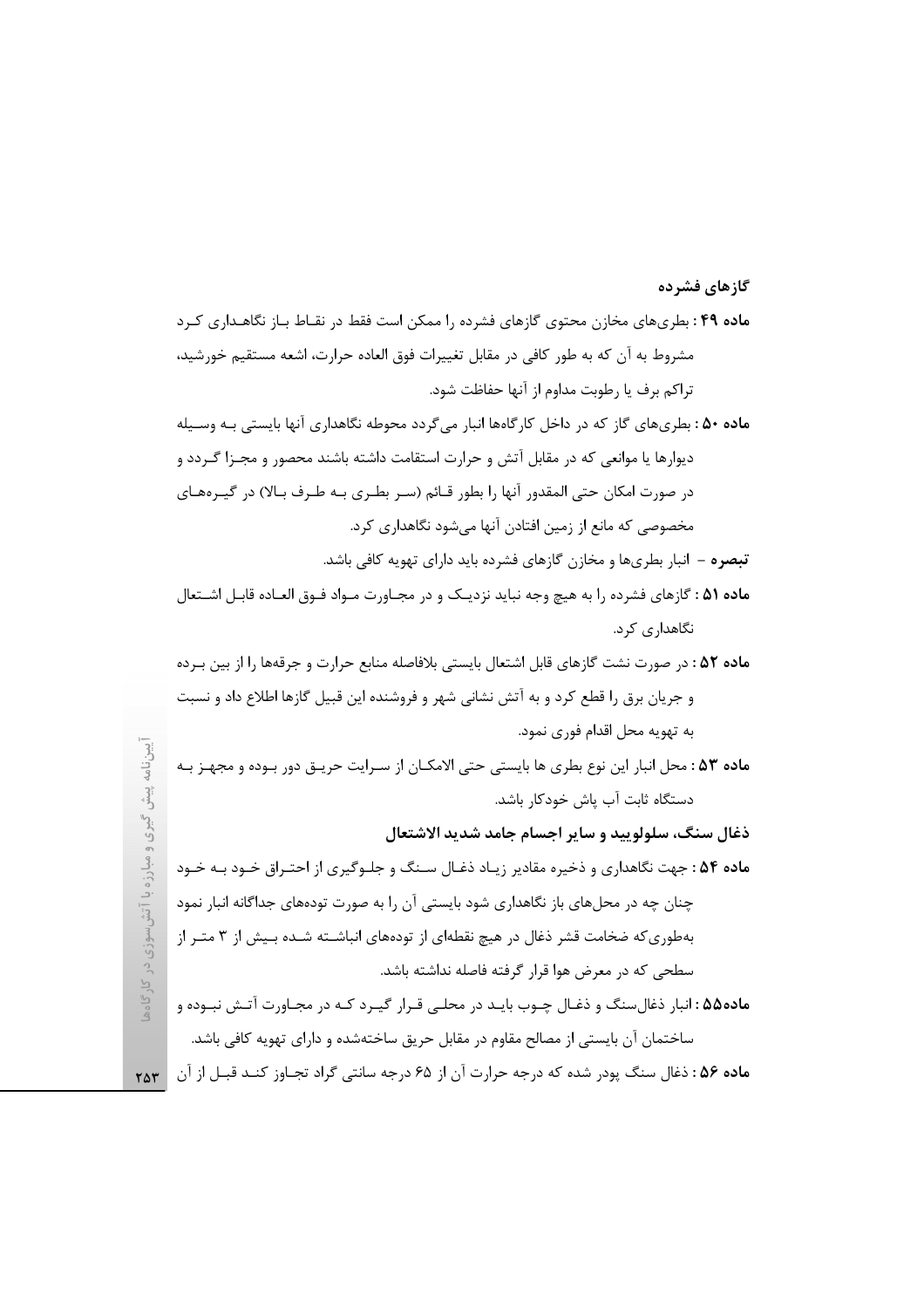## م**اده ۴۹** : بطریهای مخازن محتوی گازهای فشرده را ممکن است فقط در نقـاط بـاز نگاهـداری کـرد مشروط به آن که به طور کافی در مقابل تغییرات فوق العاده حرارت، اشعه مستقیم خورشید، تراكم برف يا رطوبت مداوم از آنها حفاظت شود. ماده ۵۰ : بطریهای گاز که در داخل کارگاهها انبار می گردد محوطه نگاهداری آنها بایستی بـه وسـیله دیوارها یا موانعی که در مقابل آتش و حرارت استقامت داشته باشند محصور و مجـزا گـردد و در صورت امکان حتی المقدور آنها را بطور قـائم (سـر بطـری بـه طـرف بـالا) در گیــرههـای مخصوصی که مانع از زمین افتادن آنها می شود نگاهداری کرد. تبصره – انبار بطریها و مخازن گازهای فشرده باید دارای تهویه کافی باشد. ماده ۵۱ : گازهای فشرده را به هیچ وجه نباید نزدیک و در مجـاورت مـواد فـوق العـاده قابـل اشـتعال نگاهداری کرد. ماده ۵۲ : در صورت نشت گازهای قابل اشتعال بایستی بلافاصله منابع حرارت و جرقهها را از بین بـرده و جریان برق را قطع کرد و به آتش نشانی شهر و فروشنده این قبیل گازها اطلاع داد و نسبت به تهويه محل اقدام فوري نمود. أيبن نامه ماده ۵۳: محل انبار این نوع بطری ها بایستی حتی الامکـان از سـرایت حریـق دور بـوده و مجهـز بـه  $\frac{1}{2}$ دستگاه ثابت آب پاش خودکار باشد. ذغال سنگ، سلولوييد و ساير اجسام جامد شديد الاشتعال ماده ۵۴: جهت نگاهداری و ذخیره مقادیر زیـاد ذغـال سـنگ و جلـوگیری از احتـراق خـود بـه خـود چنان چه در محلهای باز نگاهداری شود بایستی آن را به صورت تودههای جداگانه انبار نمود بهطوری که ضخامت قشر ذغال در هیچ نقطهای از تودههای انباشـته شـده بـیش از ۳ متـر از سطحی که در معرض هوا قرار گرفته فاصله نداشته باشد. ماده۵۵ : انبار ذغال سنگ و ذغـال چـوب بايـد در محلـي قـرار گيـرد كـه در مجـاورت آتـش نبـوده و ساختمان آن بایستی از مصالح مقاوم در مقابل حریق ساختهشده و دارای تهویه کافی باشد. ماده ۵۶: ذغال سنگ پودر شده که درجه حرارت آن از ۶۵ درجه سانتی گراد تجاوز کنـد قبـل از آن ۲۵۳

گازهای فشرده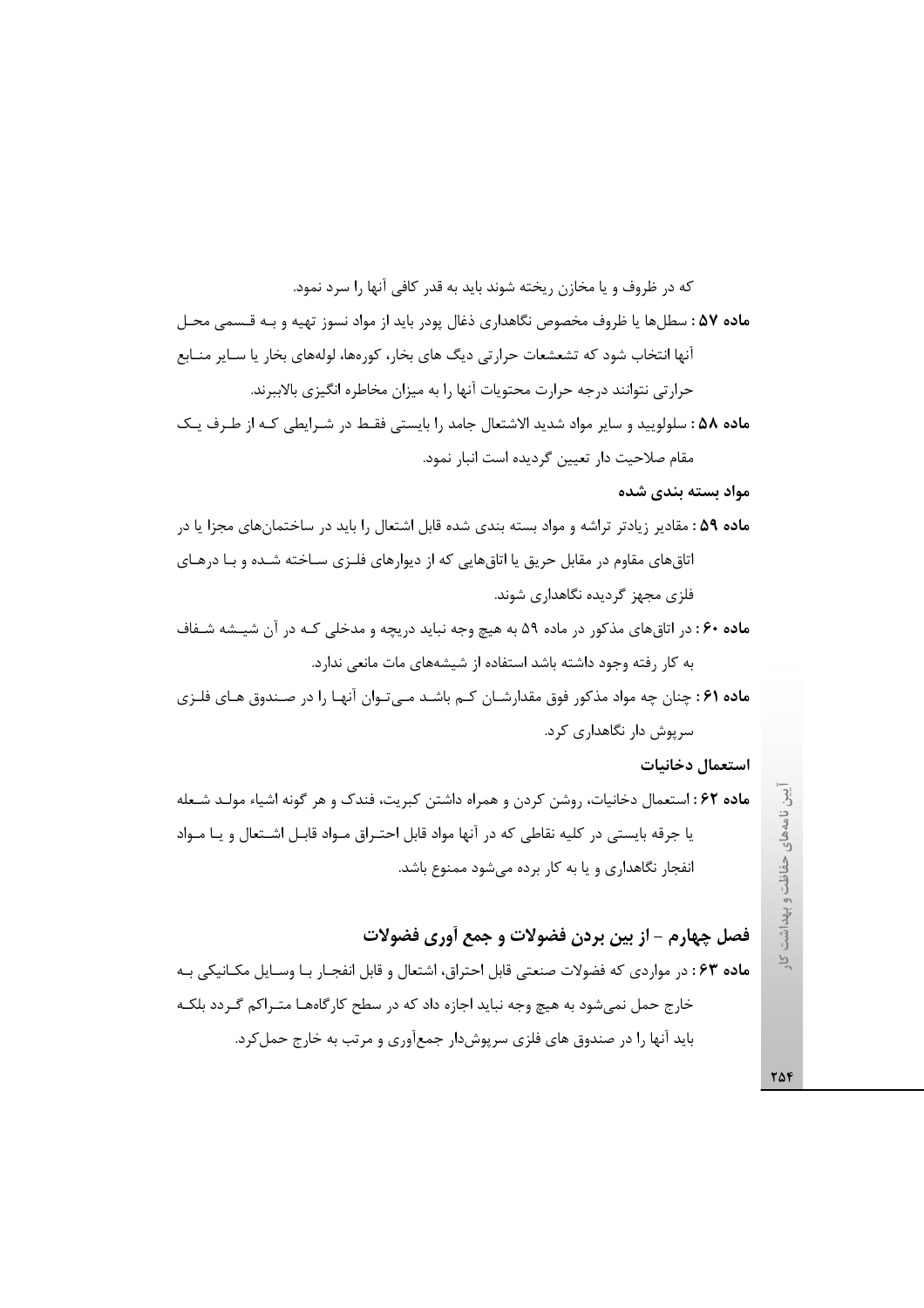فصل چهارم - از بين بردن فضولات و جمع أورى فضولات ماده ۶۳: در مواردی که فضولات صنعتی قابل احتراق، اشتعال و قابل انفجـار بـا وسـایل مکـانیکی بـه خارج حمل نمی شود به هیچ وجه نباید اجازه داد که در سطح کارگاههـا متـراکم گـردد بلکـه باید آنها را در صندوق های فلزی سرپوش دار جمعآوری و مرتب به خارج حمل کرد.

ماده ۶۲: استعمال دخانیات، روشن کردن و همراه داشتن کبریت، فندک و هر گونه اشیاء مولـد شـعله انفجار نگاهداری و یا به کار برده می شود ممنوع باشد.

یا جرقه بایستی در کلیه نقاطی که در آنها مواد قابل احتـراق مـواد قابـل اشـتعال و یـا مـواد

استعمال دخانيات

سرپوش دار نگاهداری کرد.

اتاق های مقاوم در مقابل حریق یا اتاق هایی که از دیوارهای فلـزی سـاخته شـده و بـا درهـای فلزی مجهز گردیده نگاهداری شوند. ماده ۶۰: در اتاق های مذکور در ماده ۵۹ به هیچ وجه نباید دریچه و مدخلی کـه در آن شیـشه شـفاف به کار رفته وجود داشته باشد استفاده از شیشههای مات مانعی ندارد.

ماده ۶۱ : چنان چه مواد مذکور فوق مقدارشـان کـم باشـد مـیتـوان آنهـا را در صـندوق هـای فلـزی

مواد بسته بندی شده م**اده ۵۹** : مقادیر زیادتر تراشه و مواد بسته بندی شده قابل اشتعال را باید در ساختمانهای مجزا یا در

مقام صلاحیت دار تعیین گردیده است انبار نمود.

آنها انتخاب شود که تشعشعات حرارتی دیگ های بخار، کورهها، لولههای بخار یا سـایر منـابع حرارتی نتوانند درجه حرارت محتویات آنها را به میزان مخاطره انگیزی بالاببرند.

که در ظروف و یا مخازن ریخته شوند باید به قدر کافی آنها را سرد نمود.

ماده ۵۷ : سطلها یا ظروف مخصوص نگاهداری ذغال یودر باید از مواد نسوز تهیه و بـه قـسمی محـل

ماده ۵۸: سلولوييد و ساير مواد شديد الاشتعال جامد را بايستي فقـط در شـرايطي كـه از طـرف يـك

یین نامههای حفاظت و بهداشت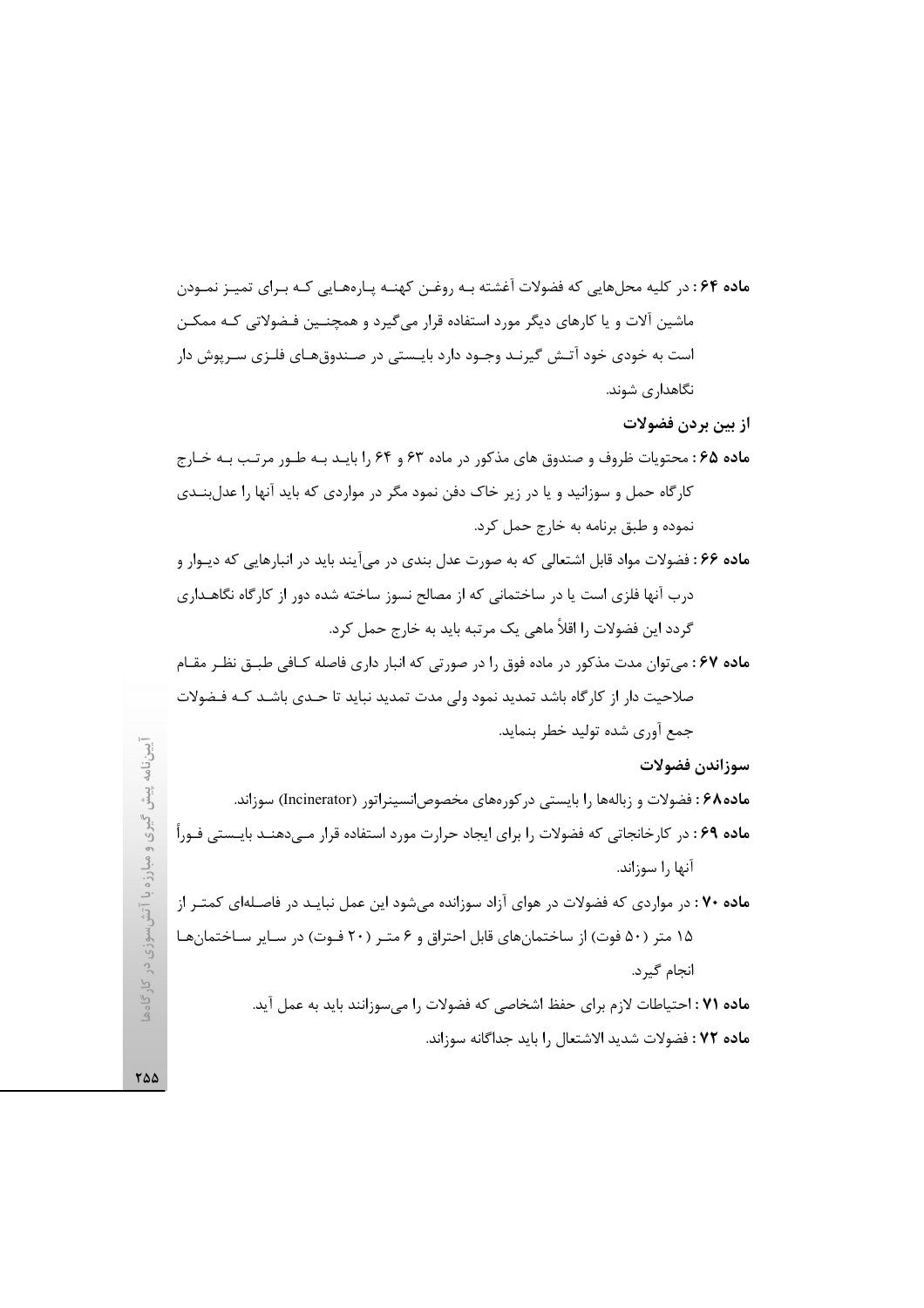م**اده ۶۴**: در کلیه محلهایی که فضولات آغشته بـه روغـن کهنـه پـارههـایی کـه بـرای تمیـز نمـودن ماشین آلات و یا کارهای دیگر مورد استفاده قرار می گیرد و همچنـین فـضولاتی کـه ممکـن است به خودی خود آتـش گیرنـد وجـود دارد بایـستی در صـندوقهـای فلـزی سـرپوش دار نگاهداری شوند.

از بين بردن فضولات

- ماده ۶۵: محتویات ظروف و صندوق های مذکور در ماده ۶۳ و ۶۴ را بایـد بـه طـور مرتـب بـه خـارج کارگاه حمل و سوزانید و یا در زیر خاک دفن نمود مگر در مواردی که باید آنها را عدلبنــدی نموده و طبق برنامه به خارج حمل کرد.
- ماده ۶۶: فضولات مواد قابل اشتعالی که به صورت عدل بندی در می آیند باید در انبارهایی که دیـوار و درب آنها فلزی است یا در ساختمانی که از مصالح نسوز ساخته شده دور از کارگاه نگاهـداری گردد این فضولات ,ا اقلاً ماهی یک مرتبه باید به خارج حمل کرد.
- ماده ۶۷: می توان مدت مذکور در ماده فوق را در صورتی که انبار داری فاصله کـافی طبــق نظـر مقـام صلاحیت دار از کارگاه باشد تمدید نمود ولی مدت تمدید نباید تا حـدی باشـد کـه فـضولات جمع آوري شده توليد خطر بنمايد.

سوزاندن فضولات

ماده۶۸ : فضولات و زبالهها را بایستی در کورههای مخصوصانسینراتور (Incinerator) سوزاند. **ماده ۶۹**: در کارخانجاتی که فضولات را برای ایجاد حرارت مورد استفاده قرار مــی‹دهنــد بایــستی فــوراً آنها ,ا سوزاند.

ماده ۷۰ : در مواردی که فضولات در هوای آزاد سوزانده میشود این عمل نبایـد در فاصـلهای کمتـر از ۱۵ متر (۵۰ فوت) از ساختمانهای قابل احتراق و ۶ متـر (۲۰ فـوت) در سـایر سـاختمانهـا انجام گیرد.

> ماده V۱ : احتياطات لازم براي حفظ اشخاصي كه فضولات را مي سوزانند بايد به عمل آيد. ماده ٧٢: فضولات شديد الاشتعال را بايد جداگانه سوزاند.

گیری و مبارزه با آتش سوزی در کارگاهه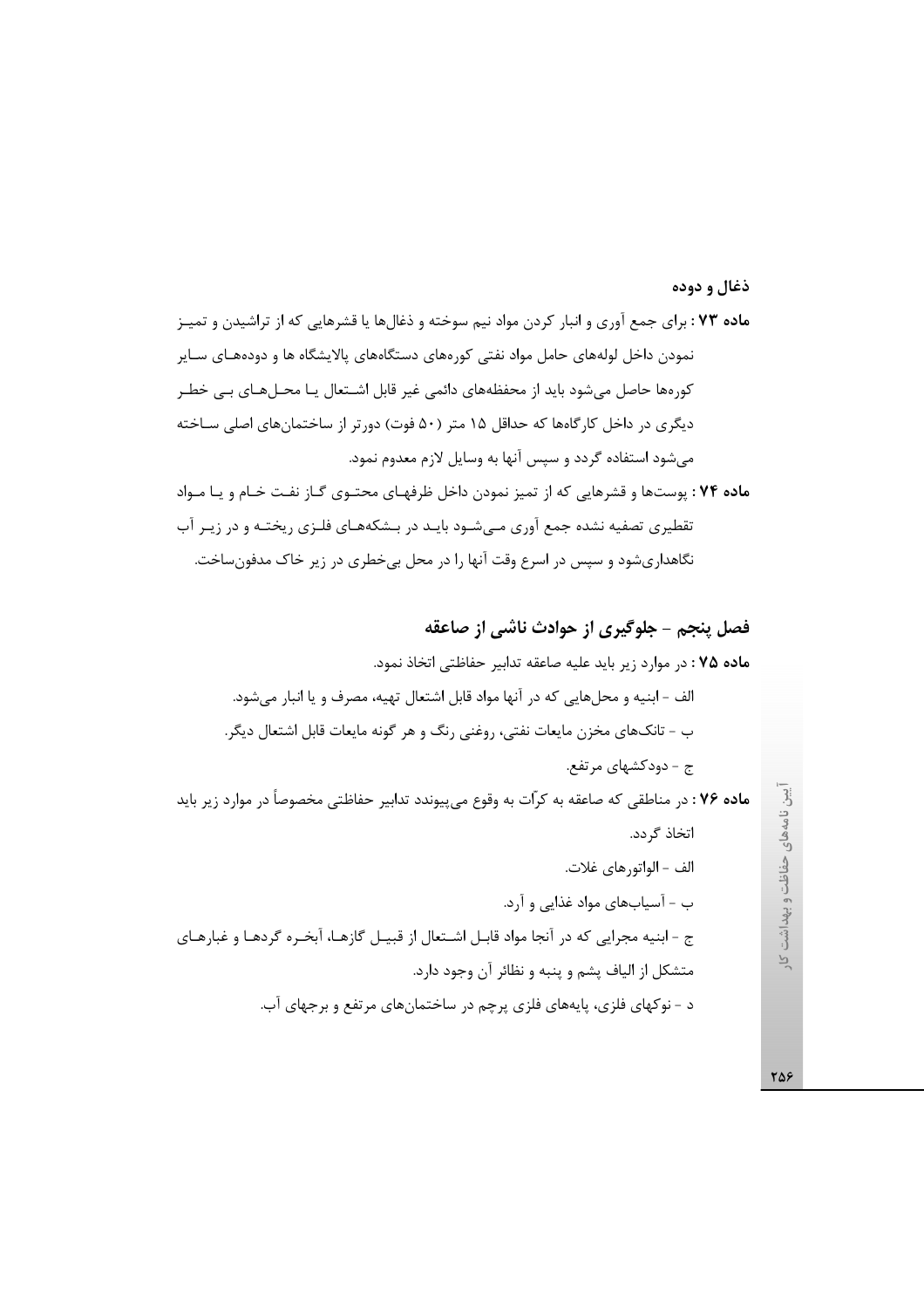#### ذغال و دوده

ماده ۷۳ : برای جمع آوری و انبار کردن مواد نیم سوخته و ذغالها یا قشرهایی که از تراشیدن و تمیـز نمودن داخل لولههای حامل مواد نفتی کورههای دستگاههای پالایشگاه ها و دودههـای سـایر کورهها حاصل میشود باید از محفظههای دائمی غیر قابل اشـتعال یـا محـلهـای بـی خطـر دیگری در داخل کارگاهها که حداقل ۱۵ متر (۵۰ فوت) دورتر از ساختمانهای اصلی سـاخته میشود استفاده گردد و سپس آنها به وسایل لازم معدوم نمود.

ماده ۷۴ : پوستها و قشرهایی که از تمیز نمودن داخل ظرفهای محتـوی گـاز نفـت خـام و یـا مـواد تقطیری تصفیه نشده جمع آوری مـیشـود بایـد در بـشکههـای فلـزی ریختـه و در زیـر آب نگاهداریشود و سپس در اسرع وقت آنها را در محل بی خطری در زیر خاک مدفونساخت.

708

ایین نامههای حفاظت و بهداشت کا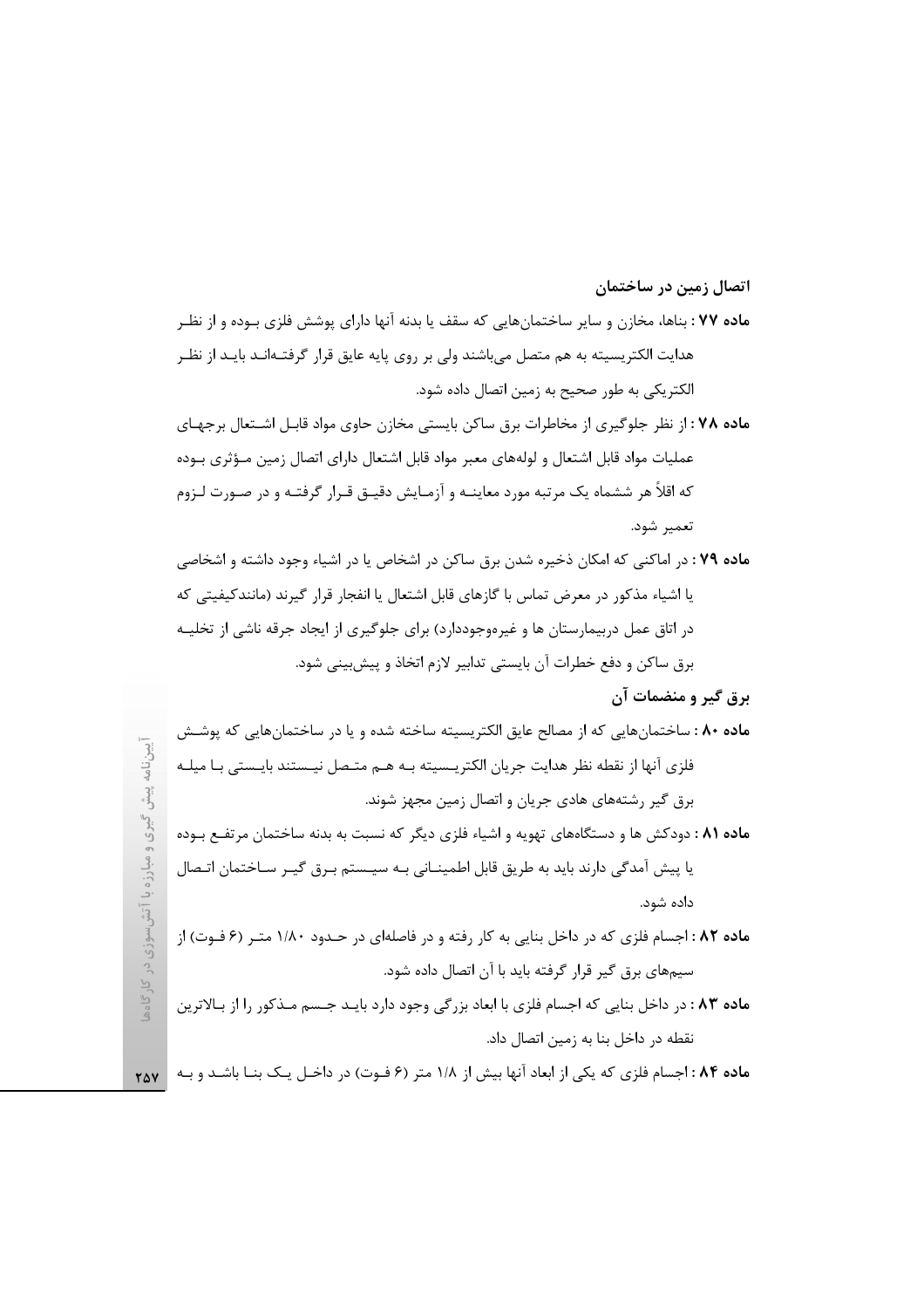#### اتصال زمین در ساختمان

- **ماده ۷۷** : بناها، مخازن و سایر ساختمانهایی که سقف یا بدنه آنها دارای پوشش فلزی بـوده و از نظـر هدایت الکتریسیته به هم متصل میباشند ولی بر روی پایه عایق قرار گرفتـهانـد بایـد از نظـر الكتريكي به طور صحيح به زمين اتصال داده شود.
- ماده ۷۸ : از نظر جلوگیری از مخاطرات برق ساکن بایستی مخازن حاوی مواد قابـل اشـتعال برجهـای عملیات مواد قابل اشتعال و لولههای معبر مواد قابل اشتعال دارای اتصال زمین مـؤثری بـوده که اقلاً هر ششماه یک مرتبه مورد معاینــه و آزمـایش دقیــق قـرار گرفتــه و در صـورت لــزوم تعمير شود.
- ماده ۷۹ : در اماکنی که امکان ذخیره شدن برق ساکن در اشخاص یا در اشیاء وجود داشته و اشخاصی یا اشیاء مذکور در معرض تماس با گازهای قابل اشتعال یا انفجار قرار گیرند (مانندکیفیتی که در اتاق عمل دربیمارستان ها و غیرهوجوددارد) برای جلوگیری از ایجاد جرقه ناشی از تخلیـه برق ساكن و دفع خطرات آن بايستي تدابير لازم اتخاذ و پيش بيني شود.

برق گیر و منضمات آن

- ماده ۸۰ : ساختمانهایی که از مصالح عایق الکتریسیته ساخته شده و یا در ساختمانهایی که پوشـش فلزي آنها از نقطه نظر هدايت جريان الكتريــسيته بــه هــم متــصل نيــستند بايــستى بــا ميلــه برق گیر رشتههای هادی جریان و اتصال زمین مجهز شوند.
- ماده ۸۱ : دودکش ها و دستگاههای تهویه و اشیاء فلزی دیگر که نسبت به بدنه ساختمان مرتفع بوده یا پیش آمدگی دارند باید به طریق قابل اطمینــانی بــه سیــستم بـرق گیـر ســاختمان اتـصال داده شود.
- ماده ۸۲: اجسام فلزی که در داخل بنایی به کار رفته و در فاصلهای در حـدود ۱/۸۰ متـر (۶ فـوت) از سیمهای برق گیر قرار گرفته باید با آن اتصال داده شود.
- م**اده ۸۳** : در داخل بنایی که اجسام فلزی با ابعاد بزرگی وجود دارد بایـد جـسم مـذکور را از بـالاترین نقطه در داخل بنا به زمین اتصال داد.

ماده ۸۴: اجسام فلزی که یکی از ابعاد آنها بیش از ۱/۸ متر (۶ فـوت) در داخـل یـک بنـا باشـد و بـه ۲۵۷